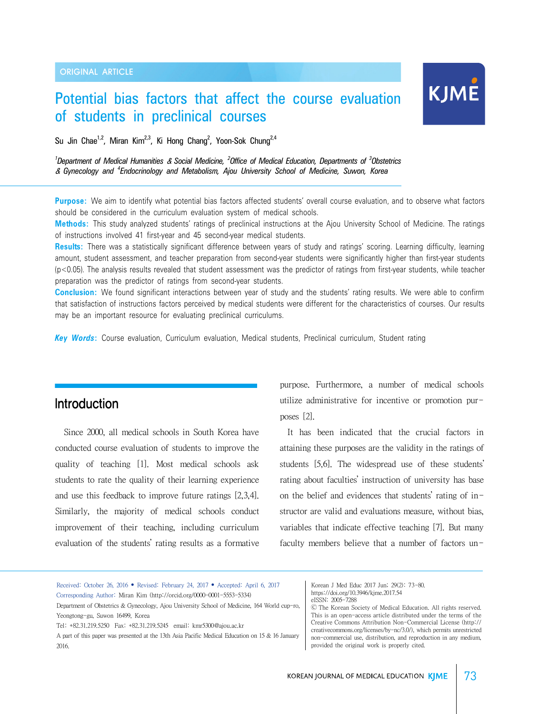# Potential bias factors that affect the course evaluation of students in preclinical courses

Su Jin Chae<sup>1,2</sup>, Miran Kim<sup>2,3</sup>, Ki Hong Chang<sup>2</sup>, Yoon-Sok Chung<sup>2,4</sup>

*1 Department of Medical Humanities* & *Social Medicine, <sup>2</sup> Office of Medical Education, Departments of <sup>3</sup> Obstetrics* & *Gynecology and <sup>4</sup> Endocrinology and Metabolism, Ajou University School of Medicine, Suwon, Korea*

**Purpose:** We aim to identify what potential bias factors affected students' overall course evaluation, and to observe what factors should be considered in the curriculum evaluation system of medical schools.

**Methods:** This study analyzed students' ratings of preclinical instructions at the Ajou University School of Medicine. The ratings of instructions involved 41 first-year and 45 second-year medical students.

**Results:** There was a statistically significant difference between years of study and ratings' scoring. Learning difficulty, learning amount, student assessment, and teacher preparation from second-year students were significantly higher than first-year students (p<0.05). The analysis results revealed that student assessment was the predictor of ratings from first-year students, while teacher preparation was the predictor of ratings from second-year students.

**Conclusion:** We found significant interactions between year of study and the students' rating results. We were able to confirm that satisfaction of instructions factors perceived by medical students were different for the characteristics of courses. Our results may be an important resource for evaluating preclinical curriculums.

*Key Words***:** Course evaluation, Curriculum evaluation, Medical students, Preclinical curriculum, Student rating

## **Introduction**

Since 2000, all medical schools in South Korea have conducted course evaluation of students to improve the quality of teaching [1]. Most medical schools ask students to rate the quality of their learning experience and use this feedback to improve future ratings [2,3,4]. Similarly, the majority of medical schools conduct improvement of their teaching, including curriculum evaluation of the students' rating results as a formative

purpose. Furthermore, a number of medical schools utilize administrative for incentive or promotion purposes [2].

KJME

 It has been indicated that the crucial factors in attaining these purposes are the validity in the ratings of students [5,6]. The widespread use of these students' rating about faculties' instruction of university has base on the belief and evidences that students' rating of instructor are valid and evaluations measure, without bias, variables that indicate effective teaching [7]. But many faculty members believe that a number of factors un-

| Received: October 26, 2016 • Revised: February 24, 2017 • Accepted: April 6, 2017<br>Corresponding Author: Miran Kim (http://orcid.org/0000-0001-5553-5334)<br>Department of Obstetrics & Gynecology, Ajou University School of Medicine, 164 World cup-ro,<br>Yeongtong-gu, Suwon 16499, Korea<br>Tel: +82,31,219,5250 Fax: +82,31,219,5245 email: kmr5300@ajou.ac.kr<br>A part of this paper was presented at the 13th Asia Pacific Medical Education on 15 & 16 January<br>2016. | Korean J Med Educ 2017 Jun; 29(2): 73-80.<br>https://doi.org/10.3946/kjme.2017.54<br>eISSN: 2005-7288<br>© The Korean Society of Medical Education, All rights reserved.<br>This is an open-access article distributed under the terms of the<br>Creative Commons Attribution Non-Commercial License (http://<br>creativecommons.org/licenses/by-nc/3.0/), which permits unrestricted<br>non-commercial use, distribution, and reproduction in any medium,<br>provided the original work is properly cited. |
|-------------------------------------------------------------------------------------------------------------------------------------------------------------------------------------------------------------------------------------------------------------------------------------------------------------------------------------------------------------------------------------------------------------------------------------------------------------------------------------|-------------------------------------------------------------------------------------------------------------------------------------------------------------------------------------------------------------------------------------------------------------------------------------------------------------------------------------------------------------------------------------------------------------------------------------------------------------------------------------------------------------|
|-------------------------------------------------------------------------------------------------------------------------------------------------------------------------------------------------------------------------------------------------------------------------------------------------------------------------------------------------------------------------------------------------------------------------------------------------------------------------------------|-------------------------------------------------------------------------------------------------------------------------------------------------------------------------------------------------------------------------------------------------------------------------------------------------------------------------------------------------------------------------------------------------------------------------------------------------------------------------------------------------------------|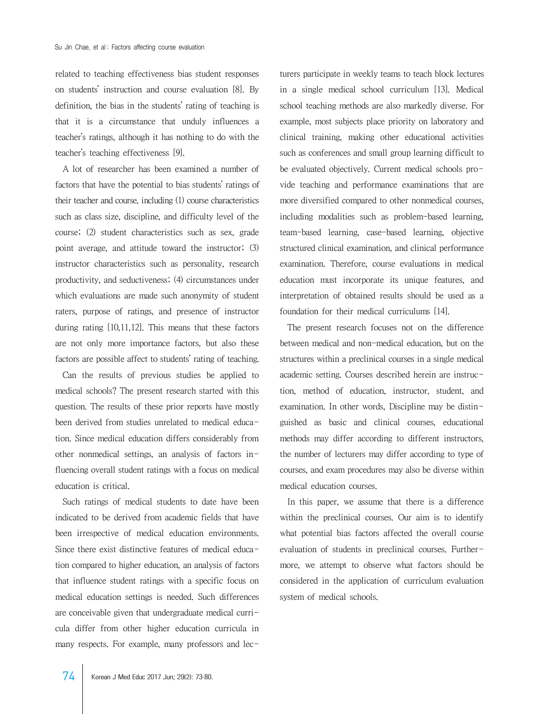related to teaching effectiveness bias student responses on students' instruction and course evaluation [8]. By definition, the bias in the students' rating of teaching is that it is a circumstance that unduly influences a teacher's ratings, although it has nothing to do with the teacher's teaching effectiveness [9].

 A lot of researcher has been examined a number of factors that have the potential to bias students' ratings of their teacher and course, including (1) course characteristics such as class size, discipline, and difficulty level of the course; (2) student characteristics such as sex, grade point average, and attitude toward the instructor; (3) instructor characteristics such as personality, research productivity, and seductiveness; (4) circumstances under which evaluations are made such anonymity of student raters, purpose of ratings, and presence of instructor during rating [10,11,12]. This means that these factors are not only more importance factors, but also these factors are possible affect to students' rating of teaching.

 Can the results of previous studies be applied to medical schools? The present research started with this question. The results of these prior reports have mostly been derived from studies unrelated to medical education. Since medical education differs considerably from other nonmedical settings, an analysis of factors influencing overall student ratings with a focus on medical education is critical.

 Such ratings of medical students to date have been indicated to be derived from academic fields that have been irrespective of medical education environments. Since there exist distinctive features of medical education compared to higher education, an analysis of factors that influence student ratings with a specific focus on medical education settings is needed. Such differences are conceivable given that undergraduate medical curricula differ from other higher education curricula in many respects. For example, many professors and lecturers participate in weekly teams to teach block lectures in a single medical school curriculum [13]. Medical school teaching methods are also markedly diverse. For example, most subjects place priority on laboratory and clinical training, making other educational activities such as conferences and small group learning difficult to be evaluated objectively. Current medical schools provide teaching and performance examinations that are more diversified compared to other nonmedical courses, including modalities such as problem-based learning, team-based learning, case-based learning, objective structured clinical examination, and clinical performance examination. Therefore, course evaluations in medical education must incorporate its unique features, and interpretation of obtained results should be used as a foundation for their medical curriculums [14].

 The present research focuses not on the difference between medical and non-medical education, but on the structures within a preclinical courses in a single medical academic setting. Courses described herein are instruction, method of education, instructor, student, and examination. In other words, Discipline may be distinguished as basic and clinical courses, educational methods may differ according to different instructors, the number of lecturers may differ according to type of courses, and exam procedures may also be diverse within medical education courses.

 In this paper, we assume that there is a difference within the preclinical courses. Our aim is to identify what potential bias factors affected the overall course evaluation of students in preclinical courses. Furthermore, we attempt to observe what factors should be considered in the application of curriculum evaluation system of medical schools.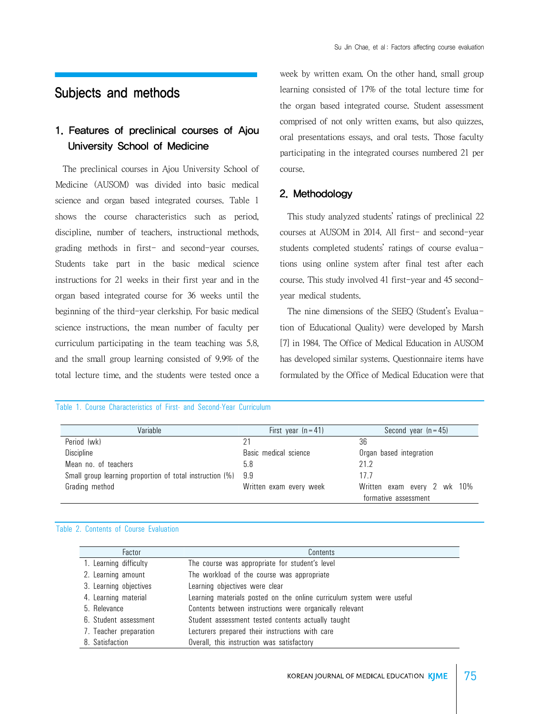## Subjects and methods

## 1. Features of preclinical courses of Ajou University School of Medicine

 The preclinical courses in Ajou University School of Medicine (AUSOM) was divided into basic medical science and organ based integrated courses. Table 1 shows the course characteristics such as period, discipline, number of teachers, instructional methods, grading methods in first- and second-year courses. Students take part in the basic medical science instructions for 21 weeks in their first year and in the organ based integrated course for 36 weeks until the beginning of the third-year clerkship. For basic medical science instructions, the mean number of faculty per curriculum participating in the team teaching was 5.8, and the small group learning consisted of 9.9% of the total lecture time, and the students were tested once a week by written exam. On the other hand, small group learning consisted of 17% of the total lecture time for the organ based integrated course. Student assessment comprised of not only written exams, but also quizzes, oral presentations essays, and oral tests. Those faculty participating in the integrated courses numbered 21 per course.

### 2. Methodology

 This study analyzed students' ratings of preclinical 22 courses at AUSOM in 2014. All first- and second-year students completed students' ratings of course evaluations using online system after final test after each course. This study involved 41 first-year and 45 secondyear medical students.

 The nine dimensions of the SEEQ (Student's Evaluation of Educational Quality) were developed by Marsh [7] in 1984. The Office of Medical Education in AUSOM has developed similar systems. Questionnaire items have formulated by the Office of Medical Education were that

#### Table 1. Course Characteristics of First- and Second-Year Curriculum

| Variable                                                     | First year $(n = 41)$   | Second year $(n=45)$        |  |
|--------------------------------------------------------------|-------------------------|-----------------------------|--|
| Period (wk)                                                  |                         | 36                          |  |
| Discipline                                                   | Basic medical science   | Organ based integration     |  |
| Mean no. of teachers                                         | 5.8                     | 21.2                        |  |
| Small group learning proportion of total instruction (%) 9.9 |                         | 17.7                        |  |
| Grading method                                               | Written exam every week | Written exam every 2 wk 10% |  |
|                                                              | formative assessment    |                             |  |

### Table 2. Contents of Course Evaluation

| Factor                 | Contents                                                              |
|------------------------|-----------------------------------------------------------------------|
| 1. Learning difficulty | The course was appropriate for student's level                        |
| 2. Learning amount     | The workload of the course was appropriate                            |
| 3. Learning objectives | Learning objectives were clear                                        |
| 4. Learning material   | Learning materials posted on the online curriculum system were useful |
| 5. Relevance           | Contents between instructions were organically relevant               |
| 6. Student assessment  | Student assessment tested contents actually taught                    |
| 7. Teacher preparation | Lecturers prepared their instructions with care                       |
| 8. Satisfaction        | Overall, this instruction was satisfactory                            |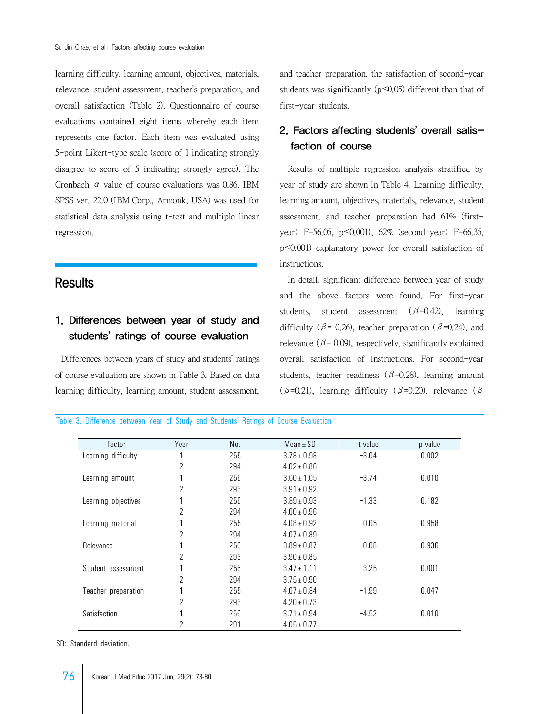learning difficulty, learning amount, objectives, materials, relevance, student assessment, teacher's preparation, and overall satisfaction (Table 2). Questionnaire of course evaluations contained eight items whereby each item represents one factor. Each item was evaluated using 5-point Likert-type scale (score of 1 indicating strongly disagree to score of 5 indicating strongly agree). The Cronbach  $\alpha$  value of course evaluations was 0.86. IBM SPSS ver. 22.0 (IBM Corp., Armonk, USA) was used for statistical data analysis using t-test and multiple linear regression.

## **Results**

## 1. Differences between year of study and students' ratings of course evaluation

 Differences between years of study and students' ratings of course evaluation are shown in Table 3. Based on data learning difficulty, learning amount, student assessment,

and teacher preparation, the satisfaction of second-year students was significantly (p<0.05) different than that of first-year students.

## 2. Factors affecting students' overall satisfaction of course

 Results of multiple regression analysis stratified by year of study are shown in Table 4. Learning difficulty, learning amount, objectives, materials, relevance, student assessment, and teacher preparation had 61% (firstyear: F=56.05, p<0.001), 62% (second-year: F=66.35, p<0.001) explanatory power for overall satisfaction of instructions.

 In detail, significant difference between year of study and the above factors were found. For first-year students, student assessment ( $\beta$ =0.42), learning difficulty ( $\beta$ = 0.26), teacher preparation ( $\beta$ =0.24), and relevance ( $\beta$ = 0.09), respectively, significantly explained overall satisfaction of instructions. For second-year students, teacher readiness ( $\beta$ =0.28), learning amount  $(\beta=0.21)$ , learning difficulty  $(\beta=0.20)$ , relevance  $(\beta=0.21)$ 

Table 3. Difference between Year of Study and Students' Ratings of Course Evaluation

| Factor              | Year           | No. | Mean $\pm$ SD   | t-value | p-value |
|---------------------|----------------|-----|-----------------|---------|---------|
| Learning difficulty |                | 255 | $3.78 \pm 0.98$ | $-3.04$ | 0.002   |
|                     | $\overline{2}$ | 294 | $4.02 \pm 0.86$ |         |         |
| Learning amount     |                | 256 | $3.60 \pm 1.05$ | $-3.74$ | 0.010   |
|                     | $\overline{2}$ | 293 | $3.91 \pm 0.92$ |         |         |
| Learning objectives |                | 256 | $3.89 \pm 0.93$ | $-1.33$ | 0.182   |
|                     | $\overline{2}$ | 294 | $4.00 \pm 0.96$ |         |         |
| Learning material   | 1              | 255 | $4.08 \pm 0.92$ | 0.05    | 0.958   |
|                     | $\overline{2}$ | 294 | $4.07 \pm 0.89$ |         |         |
| Relevance           | 1              | 256 | $3.89 \pm 0.87$ | $-0.08$ | 0.936   |
|                     | $\overline{2}$ | 293 | $3.90 \pm 0.85$ |         |         |
| Student assessment  |                | 256 | $3.47 \pm 1.11$ | $-3.25$ | 0.001   |
|                     | $\overline{2}$ | 294 | $3.75 \pm 0.90$ |         |         |
| Teacher preparation | 1              | 255 | $4.07 \pm 0.84$ | $-1.99$ | 0.047   |
|                     | 2              | 293 | $4.20 \pm 0.73$ |         |         |
| Satisfaction        | 1              | 256 | $3.71 \pm 0.94$ | $-4.52$ | 0.010   |
|                     | 2              | 291 | $4.05 \pm 0.77$ |         |         |

SD: Standard deviation.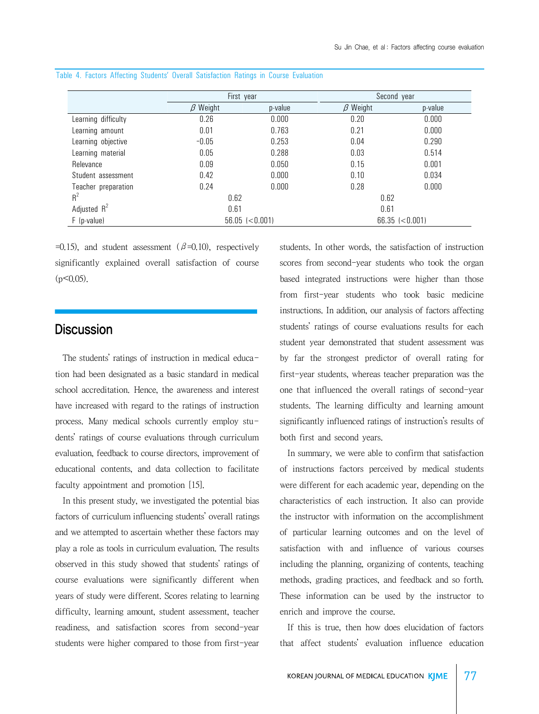|                     | First year            |         | Second year           |         |
|---------------------|-----------------------|---------|-----------------------|---------|
|                     | $\beta$ Weight        | p-value | $\beta$ Weight        | p-value |
| Learning difficulty | 0.26                  | 0.000   | 0.20                  | 0.000   |
| Learning amount     | 0.01                  | 0.763   | 0.21                  | 0.000   |
| Learning objective  | $-0.05$               | 0.253   | 0.04                  | 0.290   |
| Learning material   | 0.05                  | 0.288   | 0.03                  | 0.514   |
| Relevance           | 0.09                  | 0.050   | 0.15                  | 0.001   |
| Student assessment  | 0.42                  | 0.000   | 0.10                  | 0.034   |
| Teacher preparation | 0.24                  | 0.000   | 0.28                  | 0.000   |
| $R^2$               | 0.62                  |         | 0.62                  |         |
| Adjusted $R^2$      | 0.61                  |         | 0.61                  |         |
| $F$ (p-value)       | $56.05$ ( $< 0.001$ ) |         | $66.35$ ( $< 0.001$ ) |         |

Table 4. Factors Affecting Students' Overall Satisfaction Ratings in Course Evaluation

 $=0.15$ ), and student assessment ( $\beta=0.10$ ), respectively significantly explained overall satisfaction of course  $(p<0.05)$ .

### **Discussion**

 The students' ratings of instruction in medical education had been designated as a basic standard in medical school accreditation. Hence, the awareness and interest have increased with regard to the ratings of instruction process. Many medical schools currently employ students' ratings of course evaluations through curriculum evaluation, feedback to course directors, improvement of educational contents, and data collection to facilitate faculty appointment and promotion [15].

 In this present study, we investigated the potential bias factors of curriculum influencing students' overall ratings and we attempted to ascertain whether these factors may play a role as tools in curriculum evaluation. The results observed in this study showed that students' ratings of course evaluations were significantly different when years of study were different. Scores relating to learning difficulty, learning amount, student assessment, teacher readiness, and satisfaction scores from second-year students were higher compared to those from first-year

students. In other words, the satisfaction of instruction scores from second-year students who took the organ based integrated instructions were higher than those from first-year students who took basic medicine instructions. In addition, our analysis of factors affecting students' ratings of course evaluations results for each student year demonstrated that student assessment was by far the strongest predictor of overall rating for first-year students, whereas teacher preparation was the one that influenced the overall ratings of second-year students. The learning difficulty and learning amount significantly influenced ratings of instruction's results of both first and second years.

 In summary, we were able to confirm that satisfaction of instructions factors perceived by medical students were different for each academic year, depending on the characteristics of each instruction. It also can provide the instructor with information on the accomplishment of particular learning outcomes and on the level of satisfaction with and influence of various courses including the planning, organizing of contents, teaching methods, grading practices, and feedback and so forth. These information can be used by the instructor to enrich and improve the course.

 If this is true, then how does elucidation of factors that affect students' evaluation influence education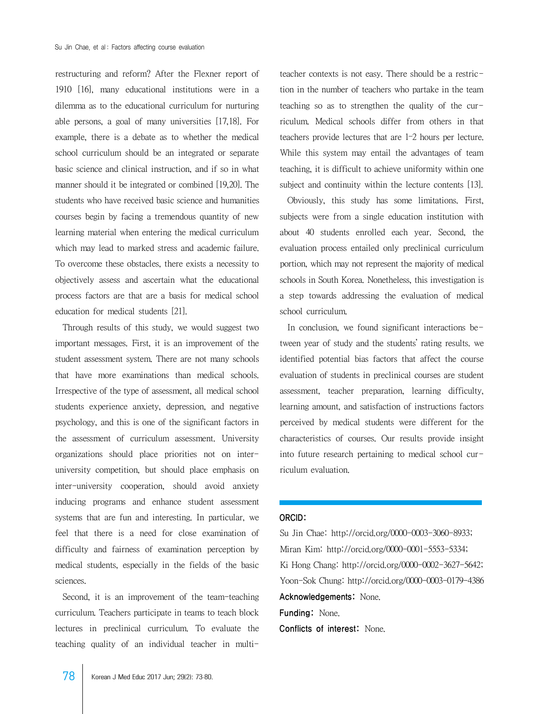restructuring and reform? After the Flexner report of 1910 [16], many educational institutions were in a dilemma as to the educational curriculum for nurturing able persons, a goal of many universities [17,18]. For example, there is a debate as to whether the medical school curriculum should be an integrated or separate basic science and clinical instruction, and if so in what manner should it be integrated or combined [19,20]. The students who have received basic science and humanities courses begin by facing a tremendous quantity of new learning material when entering the medical curriculum which may lead to marked stress and academic failure. To overcome these obstacles, there exists a necessity to objectively assess and ascertain what the educational process factors are that are a basis for medical school education for medical students [21].

 Through results of this study, we would suggest two important messages. First, it is an improvement of the student assessment system. There are not many schools that have more examinations than medical schools. Irrespective of the type of assessment, all medical school students experience anxiety, depression, and negative psychology, and this is one of the significant factors in the assessment of curriculum assessment. University organizations should place priorities not on interuniversity competition, but should place emphasis on inter-university cooperation, should avoid anxiety inducing programs and enhance student assessment systems that are fun and interesting. In particular, we feel that there is a need for close examination of difficulty and fairness of examination perception by medical students, especially in the fields of the basic sciences.

 Second, it is an improvement of the team-teaching curriculum. Teachers participate in teams to teach block lectures in preclinical curriculum. To evaluate the teaching quality of an individual teacher in multiteacher contexts is not easy. There should be a restriction in the number of teachers who partake in the team teaching so as to strengthen the quality of the curriculum. Medical schools differ from others in that teachers provide lectures that are 1–2 hours per lecture. While this system may entail the advantages of team teaching, it is difficult to achieve uniformity within one subject and continuity within the lecture contents [13].

 Obviously, this study has some limitations. First, subjects were from a single education institution with about 40 students enrolled each year. Second, the evaluation process entailed only preclinical curriculum portion, which may not represent the majority of medical schools in South Korea. Nonetheless, this investigation is a step towards addressing the evaluation of medical school curriculum.

In conclusion, we found significant interactions between year of study and the students' rating results. we identified potential bias factors that affect the course evaluation of students in preclinical courses are student assessment, teacher preparation, learning difficulty, learning amount, and satisfaction of instructions factors perceived by medical students were different for the characteristics of courses. Our results provide insight into future research pertaining to medical school curriculum evaluation.

#### ORCID:

Su Jin Chae: http://orcid.org/0000-0003-3060-8933; Miran Kim: http://orcid.org/0000-0001-5553-5334; Ki Hong Chang: http://orcid.org/0000-0002-3627-5642; Yoon-Sok Chung: http://orcid.org/0000-0003-0179-4386 Acknowledgements: None. Funding: None.

Conflicts of interest: None.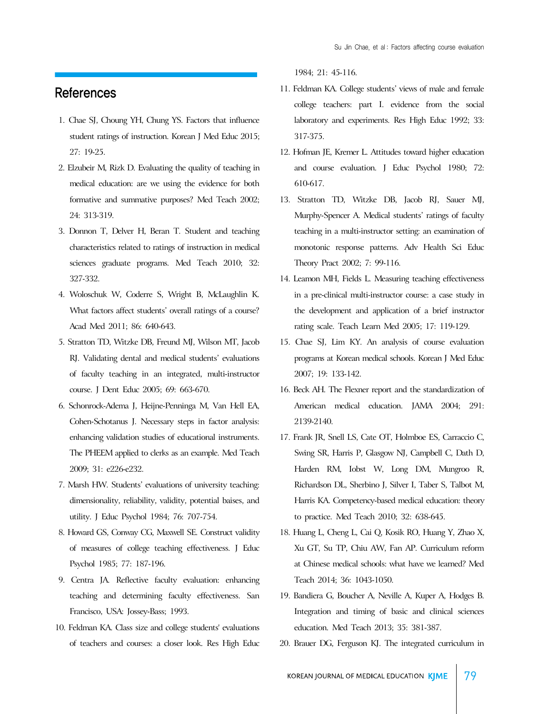## References

- 1. Chae SJ, Choung YH, Chung YS. Factors that influence student ratings of instruction. Korean J Med Educ 2015; 27: 19-25.
- 2. Elzubeir M, Rizk D. Evaluating the quality of teaching in medical education: are we using the evidence for both formative and summative purposes? Med Teach 2002; 24: 313-319.
- 3. Donnon T, Delver H, Beran T. Student and teaching characteristics related to ratings of instruction in medical sciences graduate programs. Med Teach 2010; 32: 327-332.
- 4. Woloschuk W, Coderre S, Wright B, McLaughlin K. What factors affect students' overall ratings of a course? Acad Med 2011; 86: 640-643.
- 5. Stratton TD, Witzke DB, Freund MJ, Wilson MT, Jacob RJ. Validating dental and medical students' evaluations of faculty teaching in an integrated, multi-instructor course. J Dent Educ 2005; 69: 663-670.
- 6. Schonrock-Adema J, Heijne-Penninga M, Van Hell EA, Cohen-Schotanus J. Necessary steps in factor analysis: enhancing validation studies of educational instruments. The PHEEM applied to clerks as an example. Med Teach 2009; 31: e226-e232.
- 7. Marsh HW. Students' evaluations of university teaching: dimensionality, reliability, validity, potential baises, and utility. J Educ Psychol 1984; 76: 707-754.
- 8. Howard GS, Conway CG, Maxwell SE. Construct validity of measures of college teaching effectiveness. J Educ Psychol 1985; 77: 187-196.
- 9. Centra JA. Reflective faculty evaluation: enhancing teaching and determining faculty effectiveness. San Francisco, USA: Jossey-Bass; 1993.
- 10. Feldman KA. Class size and college students' evaluations of teachers and courses: a closer look. Res High Educ

1984; 21: 45-116.

- 11. Feldman KA. College students' views of male and female college teachers: part I. evidence from the social laboratory and experiments. Res High Educ 1992; 33: 317-375.
- 12. Hofman JE, Kremer L. Attitudes toward higher education and course evaluation. J Educ Psychol 1980; 72: 610-617.
- 13. Stratton TD, Witzke DB, Jacob RJ, Sauer MJ, Murphy-Spencer A. Medical students' ratings of faculty teaching in a multi-instructor setting: an examination of monotonic response patterns. Adv Health Sci Educ Theory Pract 2002; 7: 99-116.
- 14. Leamon MH, Fields L. Measuring teaching effectiveness in a pre-clinical multi-instructor course: a case study in the development and application of a brief instructor rating scale. Teach Learn Med 2005; 17: 119-129.
- 15. Chae SJ, Lim KY. An analysis of course evaluation programs at Korean medical schools. Korean J Med Educ 2007; 19: 133-142.
- 16. Beck AH. The Flexner report and the standardization of American medical education. JAMA 2004; 291: 2139-2140.
- 17. Frank JR, Snell LS, Cate OT, Holmboe ES, Carraccio C, Swing SR, Harris P, Glasgow NJ, Campbell C, Dath D, Harden RM, Iobst W, Long DM, Mungroo R, Richardson DL, Sherbino J, Silver I, Taber S, Talbot M, Harris KA. Competency-based medical education: theory to practice. Med Teach 2010; 32: 638-645.
- 18. Huang L, Cheng L, Cai Q, Kosik RO, Huang Y, Zhao X, Xu GT, Su TP, Chiu AW, Fan AP. Curriculum reform at Chinese medical schools: what have we learned? Med Teach 2014; 36: 1043-1050.
- 19. Bandiera G, Boucher A, Neville A, Kuper A, Hodges B. Integration and timing of basic and clinical sciences education. Med Teach 2013; 35: 381-387.
- 20. Brauer DG, Ferguson KJ. The integrated curriculum in